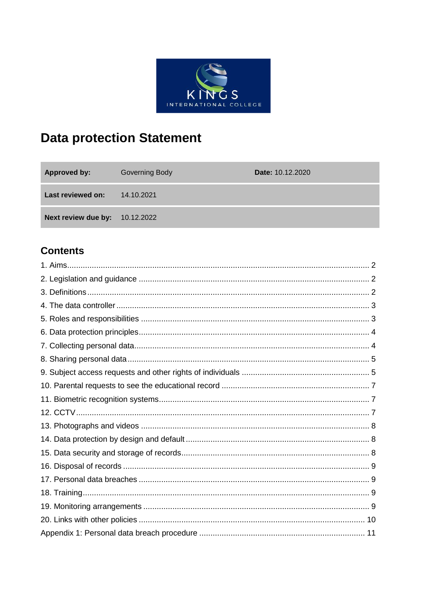

# **Data protection Statement**

| <b>Approved by:</b>                   | Governing Body | <b>Date: 10.12.2020</b> |
|---------------------------------------|----------------|-------------------------|
| <b>Last reviewed on:</b>              | 14.10.2021     |                         |
| <b>Next review due by: 10.12.2022</b> |                |                         |

# **Contents**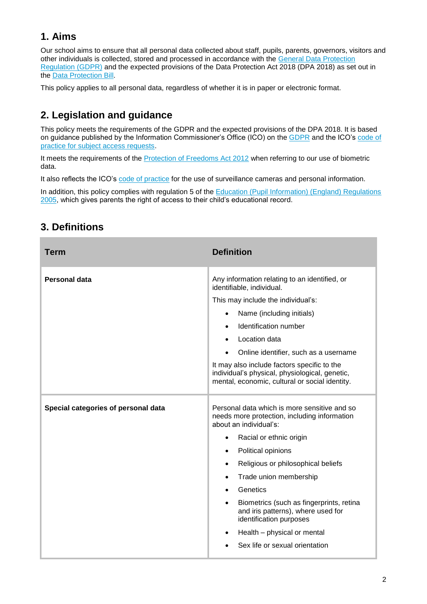# **1. Aims**

Our school aims to ensure that all personal data collected about staff, pupils, parents, governors, visitors and other individuals is collected, stored and processed in accordance with the [General Data Protection](http://data.consilium.europa.eu/doc/document/ST-5419-2016-INIT/en/pdf)  [Regulation \(GDPR\)](http://data.consilium.europa.eu/doc/document/ST-5419-2016-INIT/en/pdf) and the expected provisions of the Data Protection Act 2018 (DPA 2018) as set out in the [Data Protection Bill.](https://publications.parliament.uk/pa/bills/cbill/2017-2019/0153/18153.pdf)

This policy applies to all personal data, regardless of whether it is in paper or electronic format.

# **2. Legislation and guidance**

This policy meets the requirements of the GDPR and the expected provisions of the DPA 2018. It is based on guidance published by the Information Commissioner's Office (ICO) on the [GDPR](https://ico.org.uk/for-organisations/guide-to-the-general-data-protection-regulation-gdpr/individual-rights/right-to-be-informed/) and the ICO's code of [practice for subject access requests.](https://ico.org.uk/media/for-organisations/documents/2014223/subject-access-code-of-practice.pdf)

It meets the requirements of the **Protection of Freedoms Act 2012** when referring to our use of biometric data.

It also reflects the ICO's [code of practice](https://ico.org.uk/media/for-organisations/documents/1542/cctv-code-of-practice.pdf) for the use of surveillance cameras and personal information.

In addition, this policy complies with regulation 5 of the [Education \(Pupil Information\) \(England\) Regulations](http://www.legislation.gov.uk/uksi/2005/1437/regulation/5/made)  [2005,](http://www.legislation.gov.uk/uksi/2005/1437/regulation/5/made) which gives parents the right of access to their child's educational record.

| <b>Term</b>                         | <b>Definition</b>                                                                                                                                                                                                                                                                                                                                                                                                                                                                                               |
|-------------------------------------|-----------------------------------------------------------------------------------------------------------------------------------------------------------------------------------------------------------------------------------------------------------------------------------------------------------------------------------------------------------------------------------------------------------------------------------------------------------------------------------------------------------------|
| <b>Personal data</b>                | Any information relating to an identified, or<br>identifiable, individual.<br>This may include the individual's:<br>Name (including initials)<br>Identification number<br>Location data<br>Online identifier, such as a username<br>It may also include factors specific to the<br>individual's physical, physiological, genetic,<br>mental, economic, cultural or social identity.                                                                                                                             |
| Special categories of personal data | Personal data which is more sensitive and so<br>needs more protection, including information<br>about an individual's:<br>Racial or ethnic origin<br>$\bullet$<br>Political opinions<br>$\bullet$<br>Religious or philosophical beliefs<br>$\bullet$<br>Trade union membership<br>$\bullet$<br>Genetics<br>$\bullet$<br>Biometrics (such as fingerprints, retina<br>$\bullet$<br>and iris patterns), where used for<br>identification purposes<br>Health - physical or mental<br>Sex life or sexual orientation |

# **3. Definitions**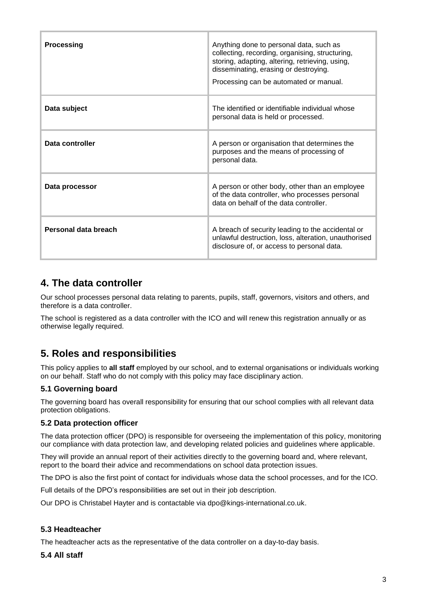| <b>Processing</b>    | Anything done to personal data, such as<br>collecting, recording, organising, structuring,<br>storing, adapting, altering, retrieving, using,<br>disseminating, erasing or destroying.<br>Processing can be automated or manual. |
|----------------------|----------------------------------------------------------------------------------------------------------------------------------------------------------------------------------------------------------------------------------|
| Data subject         | The identified or identifiable individual whose<br>personal data is held or processed.                                                                                                                                           |
| Data controller      | A person or organisation that determines the<br>purposes and the means of processing of<br>personal data.                                                                                                                        |
| Data processor       | A person or other body, other than an employee<br>of the data controller, who processes personal<br>data on behalf of the data controller.                                                                                       |
| Personal data breach | A breach of security leading to the accidental or<br>unlawful destruction, loss, alteration, unauthorised<br>disclosure of, or access to personal data.                                                                          |

### **4. The data controller**

Our school processes personal data relating to parents, pupils, staff, governors, visitors and others, and therefore is a data controller.

The school is registered as a data controller with the ICO and will renew this registration annually or as otherwise legally required.

### **5. Roles and responsibilities**

This policy applies to **all staff** employed by our school, and to external organisations or individuals working on our behalf. Staff who do not comply with this policy may face disciplinary action.

### **5.1 Governing board**

The governing board has overall responsibility for ensuring that our school complies with all relevant data protection obligations.

#### **5.2 Data protection officer**

The data protection officer (DPO) is responsible for overseeing the implementation of this policy, monitoring our compliance with data protection law, and developing related policies and guidelines where applicable.

They will provide an annual report of their activities directly to the governing board and, where relevant, report to the board their advice and recommendations on school data protection issues.

The DPO is also the first point of contact for individuals whose data the school processes, and for the ICO.

Full details of the DPO's responsibilities are set out in their job description.

Our DPO is Christabel Hayter and is contactable via dpo@kings-international.co.uk.

#### **5.3 Headteacher**

The headteacher acts as the representative of the data controller on a day-to-day basis.

#### **5.4 All staff**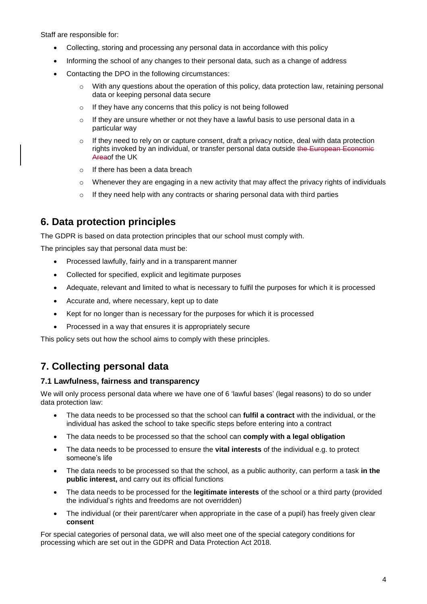Staff are responsible for:

- Collecting, storing and processing any personal data in accordance with this policy
- Informing the school of any changes to their personal data, such as a change of address
- Contacting the DPO in the following circumstances:
	- $\circ$  With any questions about the operation of this policy, data protection law, retaining personal data or keeping personal data secure
	- o If they have any concerns that this policy is not being followed
	- $\circ$  If they are unsure whether or not they have a lawful basis to use personal data in a particular way
	- $\circ$  If they need to rely on or capture consent, draft a privacy notice, deal with data protection rights invoked by an individual, or transfer personal data outside the European Economic Areaof the UK
	- o If there has been a data breach
	- $\circ$  Whenever they are engaging in a new activity that may affect the privacy rights of individuals
	- $\circ$  If they need help with any contracts or sharing personal data with third parties

### **6. Data protection principles**

The GDPR is based on data protection principles that our school must comply with.

The principles say that personal data must be:

- Processed lawfully, fairly and in a transparent manner
- Collected for specified, explicit and legitimate purposes
- Adequate, relevant and limited to what is necessary to fulfil the purposes for which it is processed
- Accurate and, where necessary, kept up to date
- Kept for no longer than is necessary for the purposes for which it is processed
- Processed in a way that ensures it is appropriately secure

This policy sets out how the school aims to comply with these principles.

### **7. Collecting personal data**

#### **7.1 Lawfulness, fairness and transparency**

We will only process personal data where we have one of 6 'lawful bases' (legal reasons) to do so under data protection law:

- The data needs to be processed so that the school can **fulfil a contract** with the individual, or the individual has asked the school to take specific steps before entering into a contract
- The data needs to be processed so that the school can **comply with a legal obligation**
- The data needs to be processed to ensure the **vital interests** of the individual e.g. to protect someone's life
- The data needs to be processed so that the school, as a public authority, can perform a task **in the public interest,** and carry out its official functions
- The data needs to be processed for the **legitimate interests** of the school or a third party (provided the individual's rights and freedoms are not overridden)
- The individual (or their parent/carer when appropriate in the case of a pupil) has freely given clear **consent**

For special categories of personal data, we will also meet one of the special category conditions for processing which are set out in the GDPR and Data Protection Act 2018.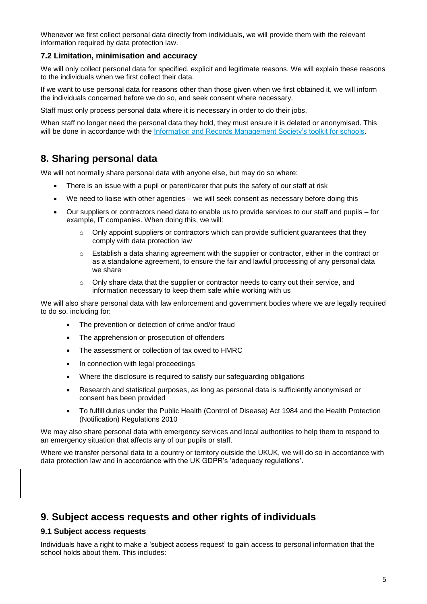Whenever we first collect personal data directly from individuals, we will provide them with the relevant information required by data protection law.

#### **7.2 Limitation, minimisation and accuracy**

We will only collect personal data for specified, explicit and legitimate reasons. We will explain these reasons to the individuals when we first collect their data.

If we want to use personal data for reasons other than those given when we first obtained it, we will inform the individuals concerned before we do so, and seek consent where necessary.

Staff must only process personal data where it is necessary in order to do their jobs.

When staff no longer need the personal data they hold, they must ensure it is deleted or anonymised. This will be done in accordance with the [Information and Records Management Society's toolkit for schools.](http://irms.org.uk/?page=schoolstoolkit&terms=%22toolkit+and+schools%22)

### **8. Sharing personal data**

We will not normally share personal data with anyone else, but may do so where:

- There is an issue with a pupil or parent/carer that puts the safety of our staff at risk
- We need to liaise with other agencies we will seek consent as necessary before doing this
- Our suppliers or contractors need data to enable us to provide services to our staff and pupils for example, IT companies. When doing this, we will:
	- $\circ$  Only appoint suppliers or contractors which can provide sufficient guarantees that they comply with data protection law
	- $\circ$  Establish a data sharing agreement with the supplier or contractor, either in the contract or as a standalone agreement, to ensure the fair and lawful processing of any personal data we share
	- $\circ$  Only share data that the supplier or contractor needs to carry out their service, and information necessary to keep them safe while working with us

We will also share personal data with law enforcement and government bodies where we are legally required to do so, including for:

- The prevention or detection of crime and/or fraud
- The apprehension or prosecution of offenders
- The assessment or collection of tax owed to HMRC
- In connection with legal proceedings
- Where the disclosure is required to satisfy our safeguarding obligations
- Research and statistical purposes, as long as personal data is sufficiently anonymised or consent has been provided
- To fulfill duties under the Public Health (Control of Disease) Act 1984 and the Health Protection (Notification) Regulations 2010

We may also share personal data with emergency services and local authorities to help them to respond to an emergency situation that affects any of our pupils or staff.

Where we transfer personal data to a country or territory outside the UKUK, we will do so in accordance with data protection law and in accordance with the UK GDPR's 'adequacy regulations'.

### **9. Subject access requests and other rights of individuals**

#### **9.1 Subject access requests**

Individuals have a right to make a 'subject access request' to gain access to personal information that the school holds about them. This includes: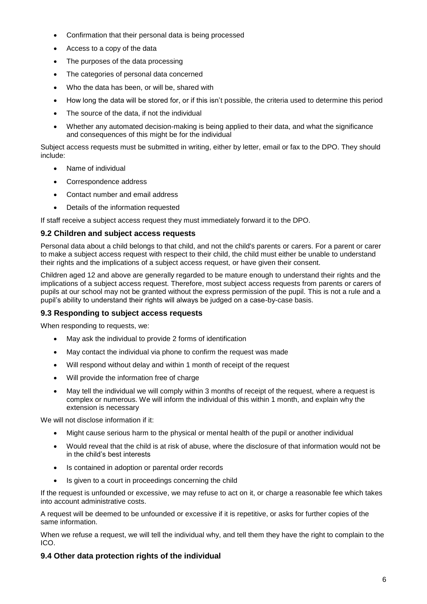- Confirmation that their personal data is being processed
- Access to a copy of the data
- The purposes of the data processing
- The categories of personal data concerned
- Who the data has been, or will be, shared with
- How long the data will be stored for, or if this isn't possible, the criteria used to determine this period
- The source of the data, if not the individual
- Whether any automated decision-making is being applied to their data, and what the significance and consequences of this might be for the individual

Subject access requests must be submitted in writing, either by letter, email or fax to the DPO. They should include:

- Name of individual
- Correspondence address
- Contact number and email address
- Details of the information requested

If staff receive a subject access request they must immediately forward it to the DPO.

#### **9.2 Children and subject access requests**

Personal data about a child belongs to that child, and not the child's parents or carers. For a parent or carer to make a subject access request with respect to their child, the child must either be unable to understand their rights and the implications of a subject access request, or have given their consent.

Children aged 12 and above are generally regarded to be mature enough to understand their rights and the implications of a subject access request. Therefore, most subject access requests from parents or carers of pupils at our school may not be granted without the express permission of the pupil. This is not a rule and a pupil's ability to understand their rights will always be judged on a case-by-case basis.

#### **9.3 Responding to subject access requests**

When responding to requests, we:

- May ask the individual to provide 2 forms of identification
- May contact the individual via phone to confirm the request was made
- Will respond without delay and within 1 month of receipt of the request
- Will provide the information free of charge
- May tell the individual we will comply within 3 months of receipt of the request, where a request is complex or numerous. We will inform the individual of this within 1 month, and explain why the extension is necessary

We will not disclose information if it:

- Might cause serious harm to the physical or mental health of the pupil or another individual
- Would reveal that the child is at risk of abuse, where the disclosure of that information would not be in the child's best interests
- Is contained in adoption or parental order records
- Is given to a court in proceedings concerning the child

If the request is unfounded or excessive, we may refuse to act on it, or charge a reasonable fee which takes into account administrative costs.

A request will be deemed to be unfounded or excessive if it is repetitive, or asks for further copies of the same information.

When we refuse a request, we will tell the individual why, and tell them they have the right to complain to the ICO.

#### **9.4 Other data protection rights of the individual**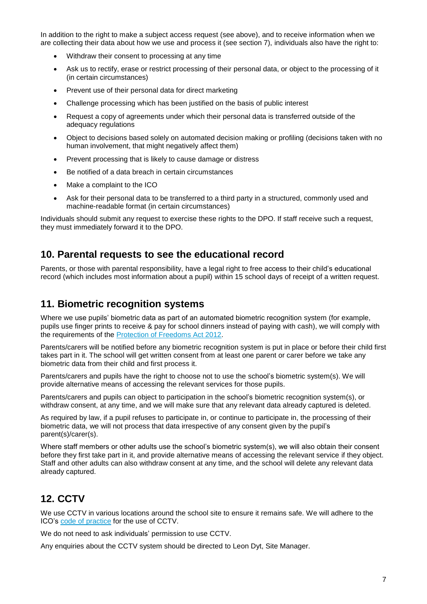In addition to the right to make a subject access request (see above), and to receive information when we are collecting their data about how we use and process it (see section 7), individuals also have the right to:

- Withdraw their consent to processing at any time
- Ask us to rectify, erase or restrict processing of their personal data, or object to the processing of it (in certain circumstances)
- Prevent use of their personal data for direct marketing
- Challenge processing which has been justified on the basis of public interest
- Request a copy of agreements under which their personal data is transferred outside of the adequacy regulations
- Object to decisions based solely on automated decision making or profiling (decisions taken with no human involvement, that might negatively affect them)
- Prevent processing that is likely to cause damage or distress
- Be notified of a data breach in certain circumstances
- Make a complaint to the ICO
- Ask for their personal data to be transferred to a third party in a structured, commonly used and machine-readable format (in certain circumstances)

Individuals should submit any request to exercise these rights to the DPO. If staff receive such a request, they must immediately forward it to the DPO.

### **10. Parental requests to see the educational record**

Parents, or those with parental responsibility, have a legal right to free access to their child's educational record (which includes most information about a pupil) within 15 school days of receipt of a written request.

### **11. Biometric recognition systems**

Where we use pupils' biometric data as part of an automated biometric recognition system (for example, pupils use finger prints to receive & pay for school dinners instead of paying with cash), we will comply with the requirements of the [Protection of Freedoms Act 2012.](https://www.legislation.gov.uk/ukpga/2012/9/section/26)

Parents/carers will be notified before any biometric recognition system is put in place or before their child first takes part in it. The school will get written consent from at least one parent or carer before we take any biometric data from their child and first process it.

Parents/carers and pupils have the right to choose not to use the school's biometric system(s). We will provide alternative means of accessing the relevant services for those pupils.

Parents/carers and pupils can object to participation in the school's biometric recognition system(s), or withdraw consent, at any time, and we will make sure that any relevant data already captured is deleted.

As required by law, if a pupil refuses to participate in, or continue to participate in, the processing of their biometric data, we will not process that data irrespective of any consent given by the pupil's parent(s)/carer(s).

Where staff members or other adults use the school's biometric system(s), we will also obtain their consent before they first take part in it, and provide alternative means of accessing the relevant service if they object. Staff and other adults can also withdraw consent at any time, and the school will delete any relevant data already captured.

### **12. CCTV**

We use CCTV in various locations around the school site to ensure it remains safe. We will adhere to the ICO's [code of practice](https://ico.org.uk/media/for-organisations/documents/1542/cctv-code-of-practice.pdf) for the use of CCTV.

We do not need to ask individuals' permission to use CCTV.

Any enquiries about the CCTV system should be directed to Leon Dyt, Site Manager.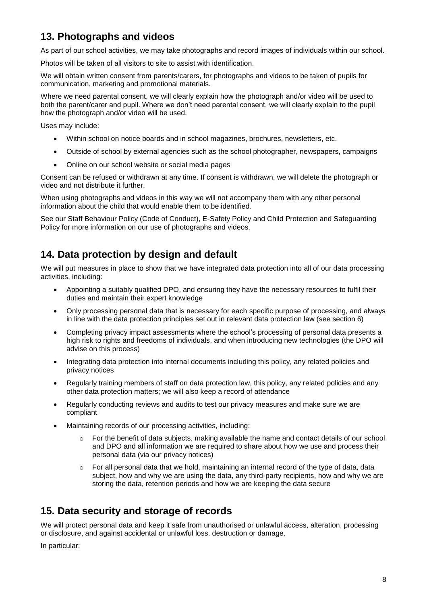## **13. Photographs and videos**

As part of our school activities, we may take photographs and record images of individuals within our school.

Photos will be taken of all visitors to site to assist with identification.

We will obtain written consent from parents/carers, for photographs and videos to be taken of pupils for communication, marketing and promotional materials.

Where we need parental consent, we will clearly explain how the photograph and/or video will be used to both the parent/carer and pupil. Where we don't need parental consent, we will clearly explain to the pupil how the photograph and/or video will be used.

Uses may include:

- Within school on notice boards and in school magazines, brochures, newsletters, etc.
- Outside of school by external agencies such as the school photographer, newspapers, campaigns
- Online on our school website or social media pages

Consent can be refused or withdrawn at any time. If consent is withdrawn, we will delete the photograph or video and not distribute it further.

When using photographs and videos in this way we will not accompany them with any other personal information about the child that would enable them to be identified.

See our Staff Behaviour Policy (Code of Conduct), E-Safety Policy and Child Protection and Safeguarding Policy for more information on our use of photographs and videos.

### **14. Data protection by design and default**

We will put measures in place to show that we have integrated data protection into all of our data processing activities, including:

- Appointing a suitably qualified DPO, and ensuring they have the necessary resources to fulfil their duties and maintain their expert knowledge
- Only processing personal data that is necessary for each specific purpose of processing, and always in line with the data protection principles set out in relevant data protection law (see section 6)
- Completing privacy impact assessments where the school's processing of personal data presents a high risk to rights and freedoms of individuals, and when introducing new technologies (the DPO will advise on this process)
- Integrating data protection into internal documents including this policy, any related policies and privacy notices
- Regularly training members of staff on data protection law, this policy, any related policies and any other data protection matters; we will also keep a record of attendance
- Regularly conducting reviews and audits to test our privacy measures and make sure we are compliant
- Maintaining records of our processing activities, including:
	- $\circ$  For the benefit of data subjects, making available the name and contact details of our school and DPO and all information we are required to share about how we use and process their personal data (via our privacy notices)
	- $\circ$  For all personal data that we hold, maintaining an internal record of the type of data, data subject, how and why we are using the data, any third-party recipients, how and why we are storing the data, retention periods and how we are keeping the data secure

### **15. Data security and storage of records**

We will protect personal data and keep it safe from unauthorised or unlawful access, alteration, processing or disclosure, and against accidental or unlawful loss, destruction or damage.

In particular: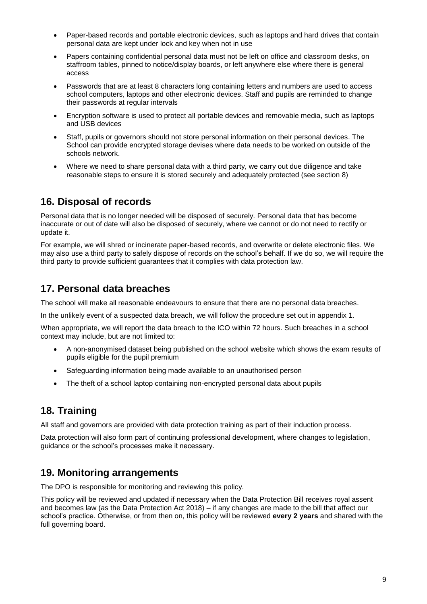- Paper-based records and portable electronic devices, such as laptops and hard drives that contain personal data are kept under lock and key when not in use
- Papers containing confidential personal data must not be left on office and classroom desks, on staffroom tables, pinned to notice/display boards, or left anywhere else where there is general access
- Passwords that are at least 8 characters long containing letters and numbers are used to access school computers, laptops and other electronic devices. Staff and pupils are reminded to change their passwords at regular intervals
- Encryption software is used to protect all portable devices and removable media, such as laptops and USB devices
- Staff, pupils or governors should not store personal information on their personal devices. The School can provide encrypted storage devises where data needs to be worked on outside of the schools network.
- Where we need to share personal data with a third party, we carry out due diligence and take reasonable steps to ensure it is stored securely and adequately protected (see section 8)

### **16. Disposal of records**

Personal data that is no longer needed will be disposed of securely. Personal data that has become inaccurate or out of date will also be disposed of securely, where we cannot or do not need to rectify or update it.

For example, we will shred or incinerate paper-based records, and overwrite or delete electronic files. We may also use a third party to safely dispose of records on the school's behalf. If we do so, we will require the third party to provide sufficient guarantees that it complies with data protection law.

### **17. Personal data breaches**

The school will make all reasonable endeavours to ensure that there are no personal data breaches.

In the unlikely event of a suspected data breach, we will follow the procedure set out in appendix 1.

When appropriate, we will report the data breach to the ICO within 72 hours. Such breaches in a school context may include, but are not limited to:

- A non-anonymised dataset being published on the school website which shows the exam results of pupils eligible for the pupil premium
- Safeguarding information being made available to an unauthorised person
- The theft of a school laptop containing non-encrypted personal data about pupils

### **18. Training**

All staff and governors are provided with data protection training as part of their induction process.

Data protection will also form part of continuing professional development, where changes to legislation, guidance or the school's processes make it necessary.

### **19. Monitoring arrangements**

The DPO is responsible for monitoring and reviewing this policy.

This policy will be reviewed and updated if necessary when the Data Protection Bill receives royal assent and becomes law (as the Data Protection Act 2018) – if any changes are made to the bill that affect our school's practice. Otherwise, or from then on, this policy will be reviewed **every 2 years** and shared with the full governing board.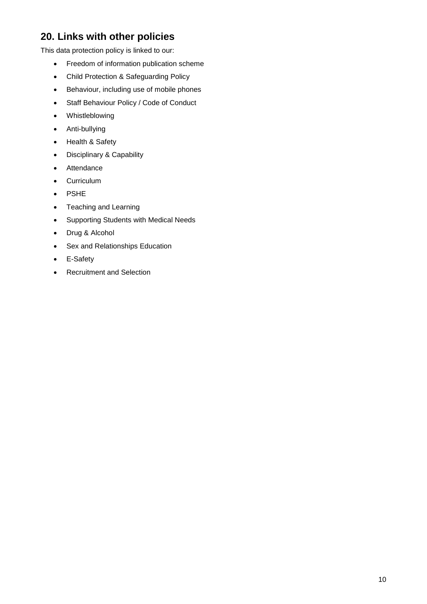## **20. Links with other policies**

This data protection policy is linked to our:

- Freedom of information publication scheme
- Child Protection & Safeguarding Policy
- Behaviour, including use of mobile phones
- Staff Behaviour Policy / Code of Conduct
- Whistleblowing
- Anti-bullying
- Health & Safety
- Disciplinary & Capability
- Attendance
- Curriculum
- PSHE
- Teaching and Learning
- Supporting Students with Medical Needs
- Drug & Alcohol
- Sex and Relationships Education
- E-Safety
- Recruitment and Selection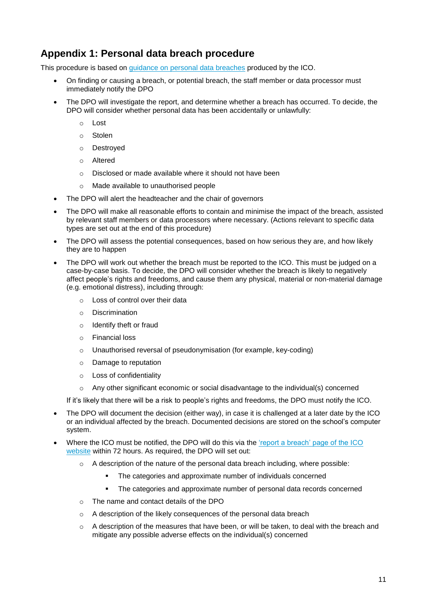### **Appendix 1: Personal data breach procedure**

This procedure is based on [guidance on personal data breaches](https://ico.org.uk/for-organisations/guide-to-the-general-data-protection-regulation-gdpr/personal-data-breaches/) produced by the ICO.

- On finding or causing a breach, or potential breach, the staff member or data processor must immediately notify the DPO
- The DPO will investigate the report, and determine whether a breach has occurred. To decide, the DPO will consider whether personal data has been accidentally or unlawfully:
	- o Lost
	- o Stolen
	- o Destroyed
	- o Altered
	- o Disclosed or made available where it should not have been
	- o Made available to unauthorised people
- The DPO will alert the headteacher and the chair of governors
- The DPO will make all reasonable efforts to contain and minimise the impact of the breach, assisted by relevant staff members or data processors where necessary. (Actions relevant to specific data types are set out at the end of this procedure)
- The DPO will assess the potential consequences, based on how serious they are, and how likely they are to happen
- The DPO will work out whether the breach must be reported to the ICO. This must be judged on a case-by-case basis. To decide, the DPO will consider whether the breach is likely to negatively affect people's rights and freedoms, and cause them any physical, material or non-material damage (e.g. emotional distress), including through:
	- o Loss of control over their data
	- o Discrimination
	- o Identify theft or fraud
	- o Financial loss
	- $\circ$  Unauthorised reversal of pseudonymisation (for example, key-coding)
	- o Damage to reputation
	- o Loss of confidentiality
	- o Any other significant economic or social disadvantage to the individual(s) concerned

If it's likely that there will be a risk to people's rights and freedoms, the DPO must notify the ICO.

- The DPO will document the decision (either way), in case it is challenged at a later date by the ICO or an individual affected by the breach. Documented decisions are stored on the school's computer system.
- Where the ICO must be notified, the DPO will do this via the ['report a breach' page of the ICO](https://ico.org.uk/for-organisations/report-a-breach/)  [website](https://ico.org.uk/for-organisations/report-a-breach/) within 72 hours. As required, the DPO will set out:
	- o A description of the nature of the personal data breach including, where possible:
		- **•** The categories and approximate number of individuals concerned
		- **•** The categories and approximate number of personal data records concerned
	- o The name and contact details of the DPO
	- o A description of the likely consequences of the personal data breach
	- $\circ$  A description of the measures that have been, or will be taken, to deal with the breach and mitigate any possible adverse effects on the individual(s) concerned